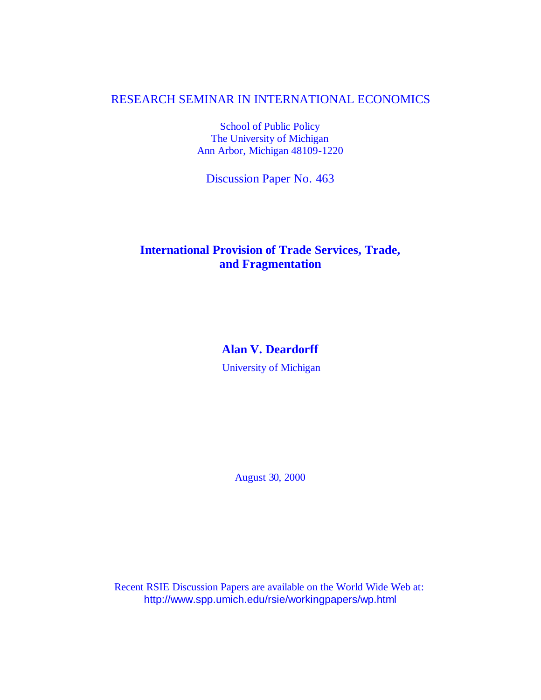# RESEARCH SEMINAR IN INTERNATIONAL ECONOMICS

School of Public Policy The University of Michigan Ann Arbor, Michigan 48109-1220

Discussion Paper No. 463

# **International Provision of Trade Services, Trade, and Fragmentation**

# **Alan V. Deardorff**

University of Michigan

August 30, 2000

Recent RSIE Discussion Papers are available on the World Wide Web at: http://www.spp.umich.edu/rsie/workingpapers/wp.html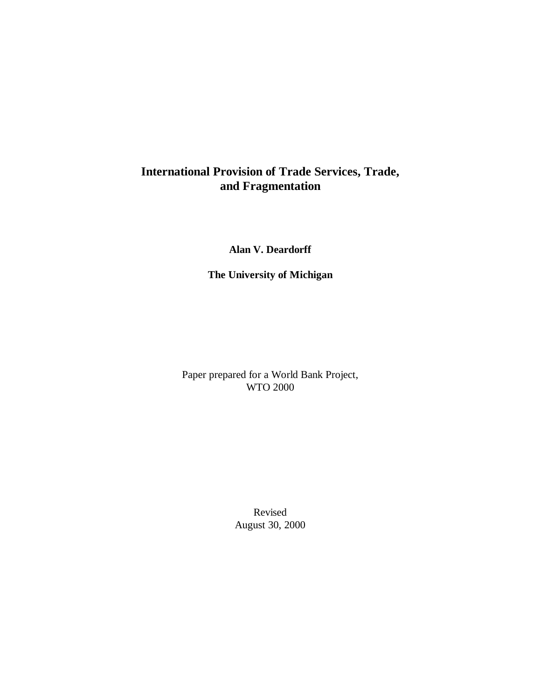# **International Provision of Trade Services, Trade, and Fragmentation**

**Alan V. Deardorff**

**The University of Michigan**

Paper prepared for a World Bank Project, WTO 2000

> Revised August 30, 2000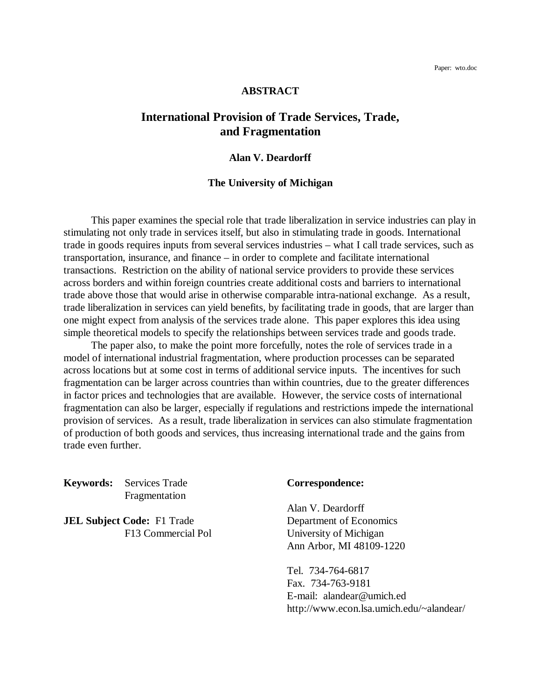Paper: wto.doc

#### **ABSTRACT**

# **International Provision of Trade Services, Trade, and Fragmentation**

#### **Alan V. Deardorff**

#### **The University of Michigan**

This paper examines the special role that trade liberalization in service industries can play in stimulating not only trade in services itself, but also in stimulating trade in goods. International trade in goods requires inputs from several services industries – what I call trade services, such as transportation, insurance, and finance – in order to complete and facilitate international transactions. Restriction on the ability of national service providers to provide these services across borders and within foreign countries create additional costs and barriers to international trade above those that would arise in otherwise comparable intra-national exchange. As a result, trade liberalization in services can yield benefits, by facilitating trade in goods, that are larger than one might expect from analysis of the services trade alone. This paper explores this idea using simple theoretical models to specify the relationships between services trade and goods trade.

The paper also, to make the point more forcefully, notes the role of services trade in a model of international industrial fragmentation, where production processes can be separated across locations but at some cost in terms of additional service inputs. The incentives for such fragmentation can be larger across countries than within countries, due to the greater differences in factor prices and technologies that are available. However, the service costs of international fragmentation can also be larger, especially if regulations and restrictions impede the international provision of services. As a result, trade liberalization in services can also stimulate fragmentation of production of both goods and services, thus increasing international trade and the gains from trade even further.

**Keywords:** Services Trade **Correspondence:** Fragmentation

**JEL Subject Code:** F1 Trade Department of Economics

Alan V. Deardorff F13 Commercial Pol University of Michigan Ann Arbor, MI 48109-1220

> Tel. 734-764-6817 Fax. 734-763-9181 E-mail: alandear@umich.ed http://www.econ.lsa.umich.edu/~alandear/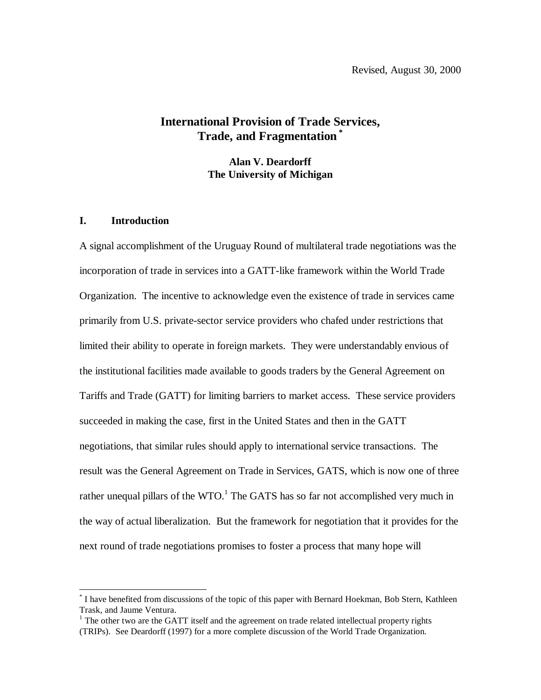# **International Provision of Trade Services, Trade, and Fragmentation \***

**Alan V. Deardorff The University of Michigan**

### **I. Introduction**

 $\overline{a}$ 

A signal accomplishment of the Uruguay Round of multilateral trade negotiations was the incorporation of trade in services into a GATT-like framework within the World Trade Organization. The incentive to acknowledge even the existence of trade in services came primarily from U.S. private-sector service providers who chafed under restrictions that limited their ability to operate in foreign markets. They were understandably envious of the institutional facilities made available to goods traders by the General Agreement on Tariffs and Trade (GATT) for limiting barriers to market access. These service providers succeeded in making the case, first in the United States and then in the GATT negotiations, that similar rules should apply to international service transactions. The result was the General Agreement on Trade in Services, GATS, which is now one of three rather unequal pillars of the WTO.<sup>1</sup> The GATS has so far not accomplished very much in the way of actual liberalization. But the framework for negotiation that it provides for the next round of trade negotiations promises to foster a process that many hope will

<sup>\*</sup> I have benefited from discussions of the topic of this paper with Bernard Hoekman, Bob Stern, Kathleen Trask, and Jaume Ventura.

 $1$  The other two are the GATT itself and the agreement on trade related intellectual property rights (TRIPs). See Deardorff (1997) for a more complete discussion of the World Trade Organization.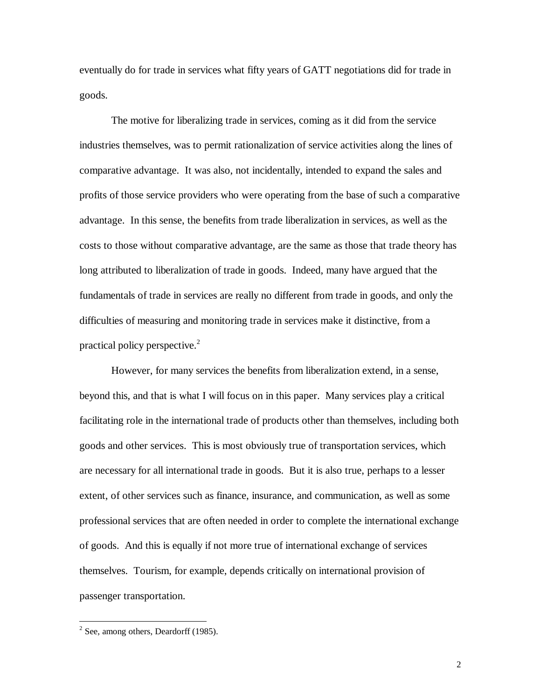eventually do for trade in services what fifty years of GATT negotiations did for trade in goods.

The motive for liberalizing trade in services, coming as it did from the service industries themselves, was to permit rationalization of service activities along the lines of comparative advantage. It was also, not incidentally, intended to expand the sales and profits of those service providers who were operating from the base of such a comparative advantage. In this sense, the benefits from trade liberalization in services, as well as the costs to those without comparative advantage, are the same as those that trade theory has long attributed to liberalization of trade in goods. Indeed, many have argued that the fundamentals of trade in services are really no different from trade in goods, and only the difficulties of measuring and monitoring trade in services make it distinctive, from a practical policy perspective. $2$ 

However, for many services the benefits from liberalization extend, in a sense, beyond this, and that is what I will focus on in this paper. Many services play a critical facilitating role in the international trade of products other than themselves, including both goods and other services. This is most obviously true of transportation services, which are necessary for all international trade in goods. But it is also true, perhaps to a lesser extent, of other services such as finance, insurance, and communication, as well as some professional services that are often needed in order to complete the international exchange of goods. And this is equally if not more true of international exchange of services themselves. Tourism, for example, depends critically on international provision of passenger transportation.

-

 $2^2$  See, among others, Deardorff (1985).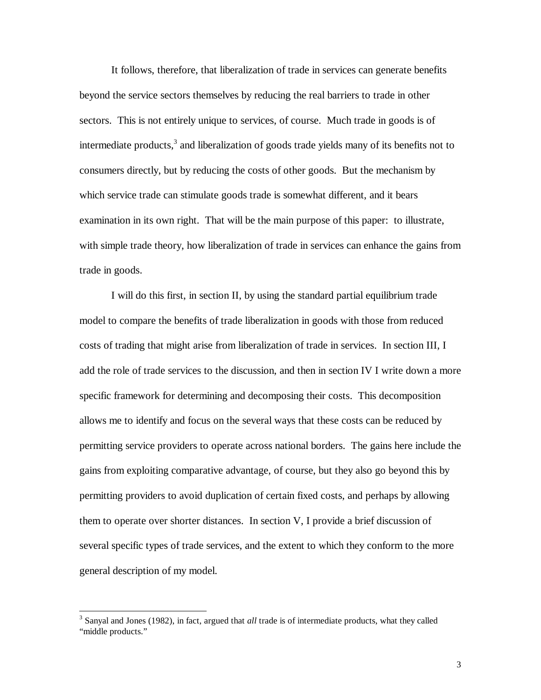It follows, therefore, that liberalization of trade in services can generate benefits beyond the service sectors themselves by reducing the real barriers to trade in other sectors. This is not entirely unique to services, of course. Much trade in goods is of intermediate products, $3$  and liberalization of goods trade yields many of its benefits not to consumers directly, but by reducing the costs of other goods. But the mechanism by which service trade can stimulate goods trade is somewhat different, and it bears examination in its own right. That will be the main purpose of this paper: to illustrate, with simple trade theory, how liberalization of trade in services can enhance the gains from trade in goods.

I will do this first, in section II, by using the standard partial equilibrium trade model to compare the benefits of trade liberalization in goods with those from reduced costs of trading that might arise from liberalization of trade in services. In section III, I add the role of trade services to the discussion, and then in section IV I write down a more specific framework for determining and decomposing their costs. This decomposition allows me to identify and focus on the several ways that these costs can be reduced by permitting service providers to operate across national borders. The gains here include the gains from exploiting comparative advantage, of course, but they also go beyond this by permitting providers to avoid duplication of certain fixed costs, and perhaps by allowing them to operate over shorter distances. In section V, I provide a brief discussion of several specific types of trade services, and the extent to which they conform to the more general description of my model.

-

<sup>&</sup>lt;sup>3</sup> Sanyal and Jones (1982), in fact, argued that *all* trade is of intermediate products, what they called "middle products."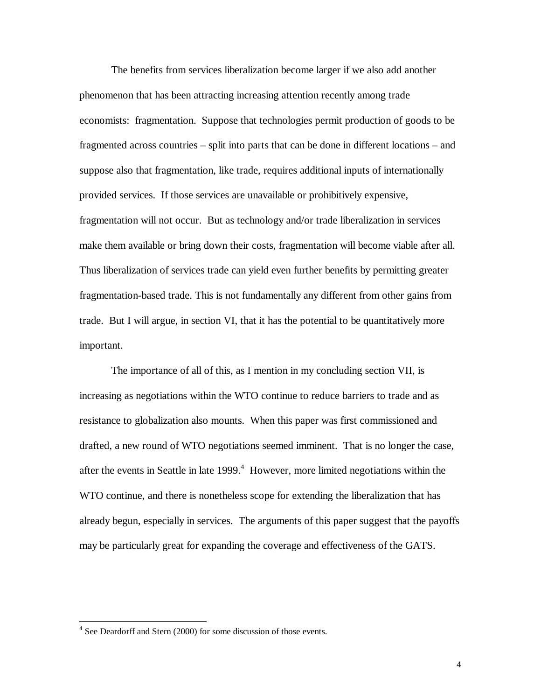The benefits from services liberalization become larger if we also add another phenomenon that has been attracting increasing attention recently among trade economists: fragmentation. Suppose that technologies permit production of goods to be fragmented across countries – split into parts that can be done in different locations – and suppose also that fragmentation, like trade, requires additional inputs of internationally provided services. If those services are unavailable or prohibitively expensive, fragmentation will not occur. But as technology and/or trade liberalization in services make them available or bring down their costs, fragmentation will become viable after all. Thus liberalization of services trade can yield even further benefits by permitting greater fragmentation-based trade. This is not fundamentally any different from other gains from trade. But I will argue, in section VI, that it has the potential to be quantitatively more important.

The importance of all of this, as I mention in my concluding section VII, is increasing as negotiations within the WTO continue to reduce barriers to trade and as resistance to globalization also mounts. When this paper was first commissioned and drafted, a new round of WTO negotiations seemed imminent. That is no longer the case, after the events in Seattle in late  $1999$ .<sup>4</sup> However, more limited negotiations within the WTO continue, and there is nonetheless scope for extending the liberalization that has already begun, especially in services. The arguments of this paper suggest that the payoffs may be particularly great for expanding the coverage and effectiveness of the GATS.

 $\overline{a}$ 

 $4$  See Deardorff and Stern (2000) for some discussion of those events.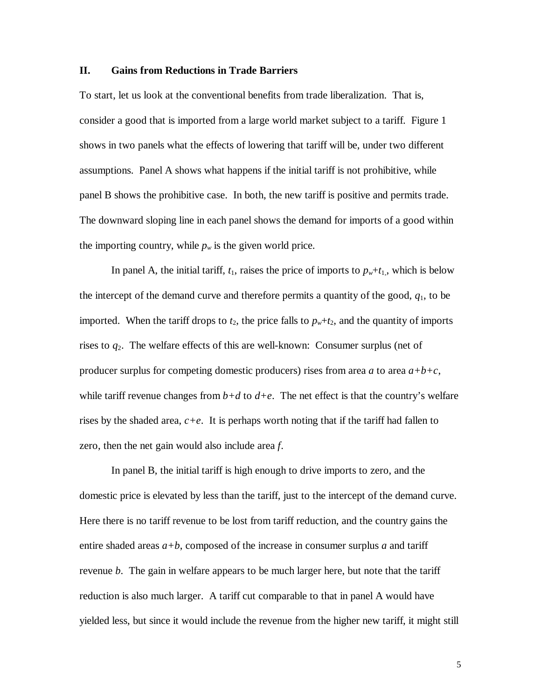#### **II. Gains from Reductions in Trade Barriers**

To start, let us look at the conventional benefits from trade liberalization. That is, consider a good that is imported from a large world market subject to a tariff. Figure 1 shows in two panels what the effects of lowering that tariff will be, under two different assumptions. Panel A shows what happens if the initial tariff is not prohibitive, while panel B shows the prohibitive case. In both, the new tariff is positive and permits trade. The downward sloping line in each panel shows the demand for imports of a good within the importing country, while  $p_w$  is the given world price.

In panel A, the initial tariff,  $t_1$ , raises the price of imports to  $p_w+t_1$ , which is below the intercept of the demand curve and therefore permits a quantity of the good, *q*1, to be imported. When the tariff drops to  $t_2$ , the price falls to  $p_w+t_2$ , and the quantity of imports rises to  $q_2$ . The welfare effects of this are well-known: Consumer surplus (net of producer surplus for competing domestic producers) rises from area *a* to area *a+b+c*, while tariff revenue changes from  $b+d$  to  $d+e$ . The net effect is that the country's welfare rises by the shaded area, *c+e*. It is perhaps worth noting that if the tariff had fallen to zero, then the net gain would also include area *f*.

In panel B, the initial tariff is high enough to drive imports to zero, and the domestic price is elevated by less than the tariff, just to the intercept of the demand curve. Here there is no tariff revenue to be lost from tariff reduction, and the country gains the entire shaded areas  $a+b$ , composed of the increase in consumer surplus  $a$  and tariff revenue *b*. The gain in welfare appears to be much larger here, but note that the tariff reduction is also much larger. A tariff cut comparable to that in panel A would have yielded less, but since it would include the revenue from the higher new tariff, it might still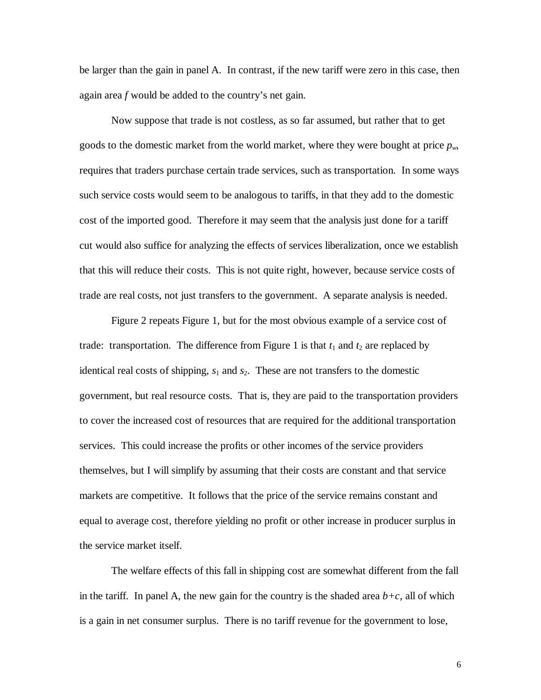be larger than the gain in panel A. In contrast, if the new tariff were zero in this case, then again area *f* would be added to the country's net gain.

Now suppose that trade is not costless, as so far assumed, but rather that to get goods to the domestic market from the world market, where they were bought at price  $p_w$ , requires that traders purchase certain trade services, such as transportation. In some ways such service costs would seem to be analogous to tariffs, in that they add to the domestic cost of the imported good. Therefore it may seem that the analysis just done for a tariff cut would also suffice for analyzing the effects of services liberalization, once we establish that this will reduce their costs. This is not quite right, however, because service costs of trade are real costs, not just transfers to the government. A separate analysis is needed.

Figure 2 repeats Figure 1, but for the most obvious example of a service cost of trade: transportation. The difference from Figure 1 is that  $t_1$  and  $t_2$  are replaced by identical real costs of shipping,  $s_1$  and  $s_2$ . These are not transfers to the domestic government, but real resource costs. That is, they are paid to the transportation providers to cover the increased cost of resources that are required for the additional transportation services. This could increase the profits or other incomes of the service providers themselves, but I will simplify by assuming that their costs are constant and that service markets are competitive. It follows that the price of the service remains constant and equal to average cost, therefore yielding no profit or other increase in producer surplus in the service market itself.

The welfare effects of this fall in shipping cost are somewhat different from the fall in the tariff. In panel A, the new gain for the country is the shaded area  $b+c$ , all of which is a gain in net consumer surplus. There is no tariff revenue for the government to lose,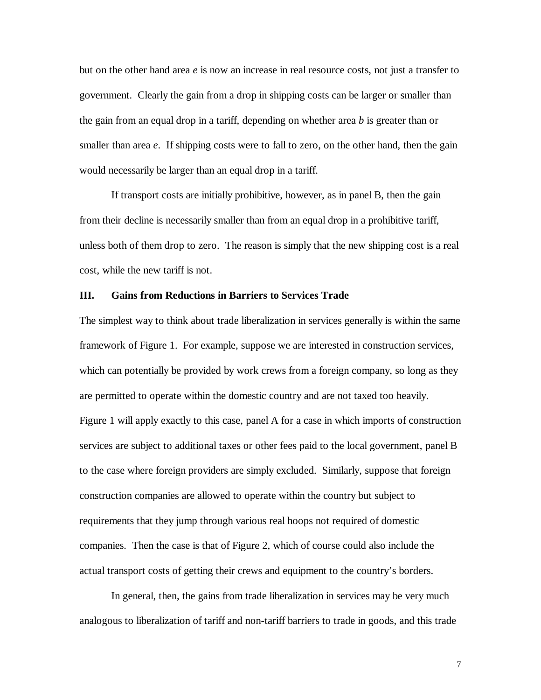but on the other hand area *e* is now an increase in real resource costs, not just a transfer to government. Clearly the gain from a drop in shipping costs can be larger or smaller than the gain from an equal drop in a tariff, depending on whether area *b* is greater than or smaller than area *e*. If shipping costs were to fall to zero, on the other hand, then the gain would necessarily be larger than an equal drop in a tariff.

If transport costs are initially prohibitive, however, as in panel B, then the gain from their decline is necessarily smaller than from an equal drop in a prohibitive tariff, unless both of them drop to zero. The reason is simply that the new shipping cost is a real cost, while the new tariff is not.

#### **III. Gains from Reductions in Barriers to Services Trade**

The simplest way to think about trade liberalization in services generally is within the same framework of Figure 1. For example, suppose we are interested in construction services, which can potentially be provided by work crews from a foreign company, so long as they are permitted to operate within the domestic country and are not taxed too heavily. Figure 1 will apply exactly to this case, panel A for a case in which imports of construction services are subject to additional taxes or other fees paid to the local government, panel B to the case where foreign providers are simply excluded. Similarly, suppose that foreign construction companies are allowed to operate within the country but subject to requirements that they jump through various real hoops not required of domestic companies. Then the case is that of Figure 2, which of course could also include the actual transport costs of getting their crews and equipment to the country's borders.

In general, then, the gains from trade liberalization in services may be very much analogous to liberalization of tariff and non-tariff barriers to trade in goods, and this trade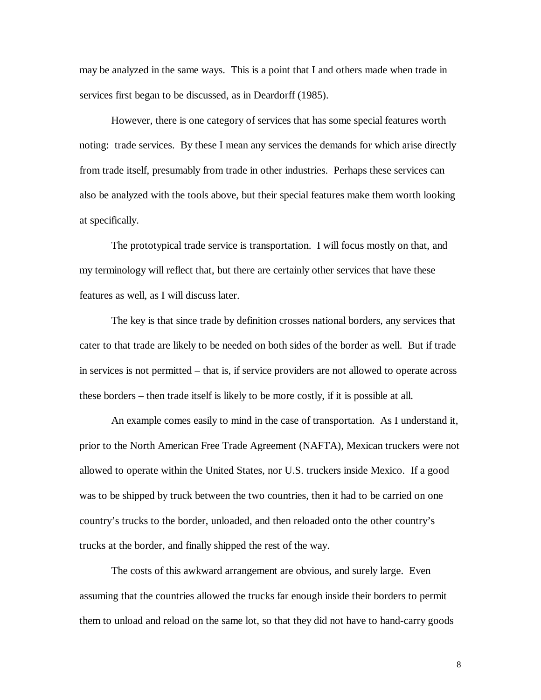may be analyzed in the same ways. This is a point that I and others made when trade in services first began to be discussed, as in Deardorff (1985).

However, there is one category of services that has some special features worth noting: trade services. By these I mean any services the demands for which arise directly from trade itself, presumably from trade in other industries. Perhaps these services can also be analyzed with the tools above, but their special features make them worth looking at specifically.

The prototypical trade service is transportation. I will focus mostly on that, and my terminology will reflect that, but there are certainly other services that have these features as well, as I will discuss later.

The key is that since trade by definition crosses national borders, any services that cater to that trade are likely to be needed on both sides of the border as well. But if trade in services is not permitted – that is, if service providers are not allowed to operate across these borders – then trade itself is likely to be more costly, if it is possible at all.

An example comes easily to mind in the case of transportation. As I understand it, prior to the North American Free Trade Agreement (NAFTA), Mexican truckers were not allowed to operate within the United States, nor U.S. truckers inside Mexico. If a good was to be shipped by truck between the two countries, then it had to be carried on one country's trucks to the border, unloaded, and then reloaded onto the other country's trucks at the border, and finally shipped the rest of the way.

The costs of this awkward arrangement are obvious, and surely large. Even assuming that the countries allowed the trucks far enough inside their borders to permit them to unload and reload on the same lot, so that they did not have to hand-carry goods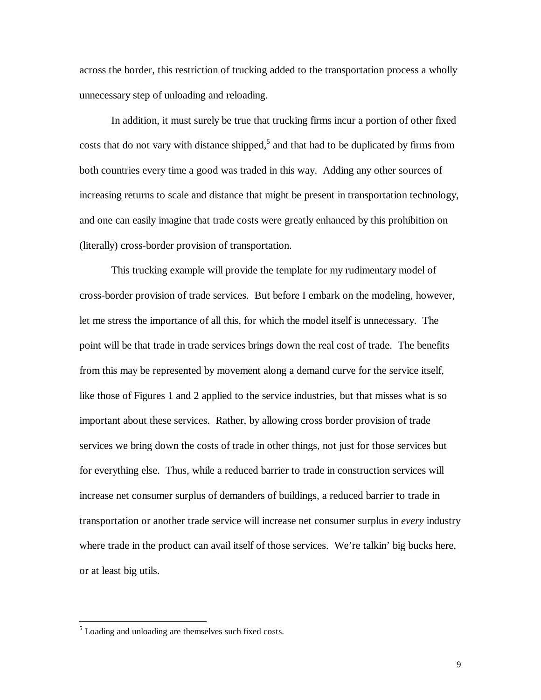across the border, this restriction of trucking added to the transportation process a wholly unnecessary step of unloading and reloading.

In addition, it must surely be true that trucking firms incur a portion of other fixed costs that do not vary with distance shipped,<sup>5</sup> and that had to be duplicated by firms from both countries every time a good was traded in this way. Adding any other sources of increasing returns to scale and distance that might be present in transportation technology, and one can easily imagine that trade costs were greatly enhanced by this prohibition on (literally) cross-border provision of transportation.

This trucking example will provide the template for my rudimentary model of cross-border provision of trade services. But before I embark on the modeling, however, let me stress the importance of all this, for which the model itself is unnecessary. The point will be that trade in trade services brings down the real cost of trade. The benefits from this may be represented by movement along a demand curve for the service itself, like those of Figures 1 and 2 applied to the service industries, but that misses what is so important about these services. Rather, by allowing cross border provision of trade services we bring down the costs of trade in other things, not just for those services but for everything else. Thus, while a reduced barrier to trade in construction services will increase net consumer surplus of demanders of buildings, a reduced barrier to trade in transportation or another trade service will increase net consumer surplus in *every* industry where trade in the product can avail itself of those services. We're talkin' big bucks here, or at least big utils.

-

 $<sup>5</sup>$  Loading and unloading are themselves such fixed costs.</sup>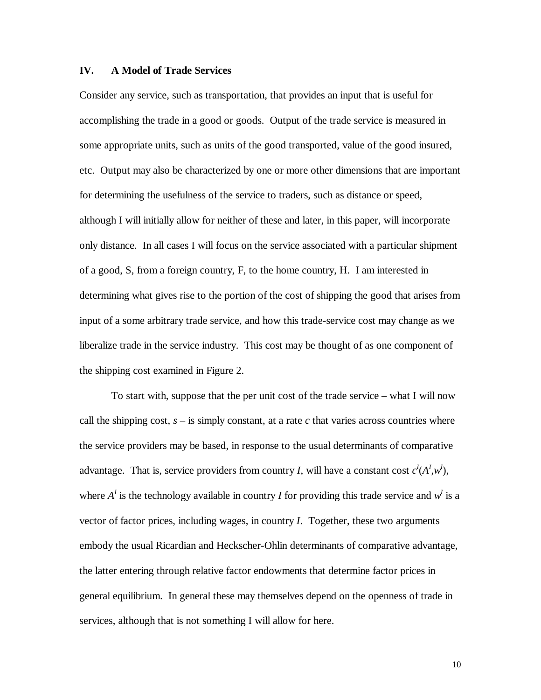#### **IV. A Model of Trade Services**

Consider any service, such as transportation, that provides an input that is useful for accomplishing the trade in a good or goods. Output of the trade service is measured in some appropriate units, such as units of the good transported, value of the good insured, etc. Output may also be characterized by one or more other dimensions that are important for determining the usefulness of the service to traders, such as distance or speed, although I will initially allow for neither of these and later, in this paper, will incorporate only distance. In all cases I will focus on the service associated with a particular shipment of a good, S, from a foreign country, F, to the home country, H. I am interested in determining what gives rise to the portion of the cost of shipping the good that arises from input of a some arbitrary trade service, and how this trade-service cost may change as we liberalize trade in the service industry. This cost may be thought of as one component of the shipping cost examined in Figure 2.

To start with, suppose that the per unit cost of the trade service – what I will now call the shipping cost,  $s -$  is simply constant, at a rate  $c$  that varies across countries where the service providers may be based, in response to the usual determinants of comparative advantage. That is, service providers from country *I*, will have a constant cost  $c^{I}(A^{I}, w^{I})$ , where  $A<sup>I</sup>$  is the technology available in country *I* for providing this trade service and  $w<sup>I</sup>$  is a vector of factor prices, including wages, in country *I*. Together, these two arguments embody the usual Ricardian and Heckscher-Ohlin determinants of comparative advantage, the latter entering through relative factor endowments that determine factor prices in general equilibrium. In general these may themselves depend on the openness of trade in services, although that is not something I will allow for here.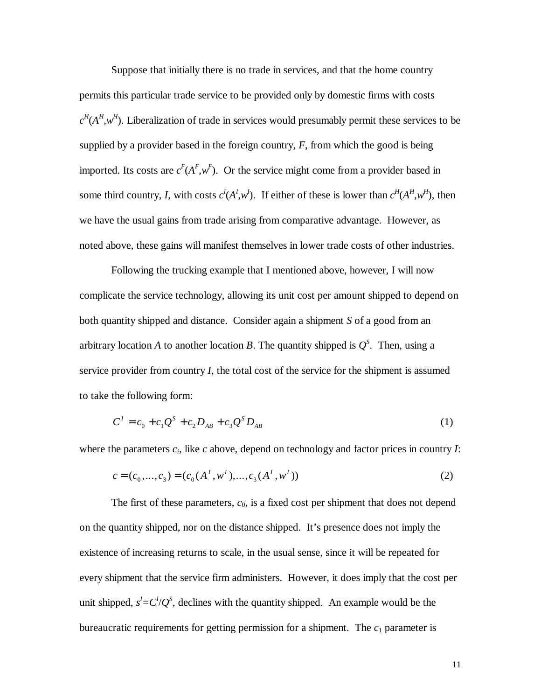Suppose that initially there is no trade in services, and that the home country permits this particular trade service to be provided only by domestic firms with costs  $c^H(A^H, w^H)$ . Liberalization of trade in services would presumably permit these services to be supplied by a provider based in the foreign country, *F*, from which the good is being imported. Its costs are  $c^{F}(A^{F}, w^{F})$ . Or the service might come from a provider based in some third country, *I*, with costs  $c^I(A^I, w^I)$ . If either of these is lower than  $c^H(A^H, w^H)$ , then we have the usual gains from trade arising from comparative advantage. However, as noted above, these gains will manifest themselves in lower trade costs of other industries.

Following the trucking example that I mentioned above, however, I will now complicate the service technology, allowing its unit cost per amount shipped to depend on both quantity shipped and distance. Consider again a shipment *S* of a good from an arbitrary location *A* to another location *B*. The quantity shipped is  $Q^S$ . Then, using a service provider from country *I*, the total cost of the service for the shipment is assumed to take the following form:

$$
C^{I} = c_0 + c_1 Q^{S} + c_2 D_{AB} + c_3 Q^{S} D_{AB}
$$
 (1)

where the parameters *ci*, like *c* above, depend on technology and factor prices in country *I*:

$$
c = (c_0, \dots, c_3) = (c_0(A^I, w^I), \dots, c_3(A^I, w^I))
$$
\n(2)

The first of these parameters,  $c_0$ , is a fixed cost per shipment that does not depend on the quantity shipped, nor on the distance shipped. It's presence does not imply the existence of increasing returns to scale, in the usual sense, since it will be repeated for every shipment that the service firm administers. However, it does imply that the cost per unit shipped,  $s' = C'/Q<sup>S</sup>$ , declines with the quantity shipped. An example would be the bureaucratic requirements for getting permission for a shipment. The  $c_1$  parameter is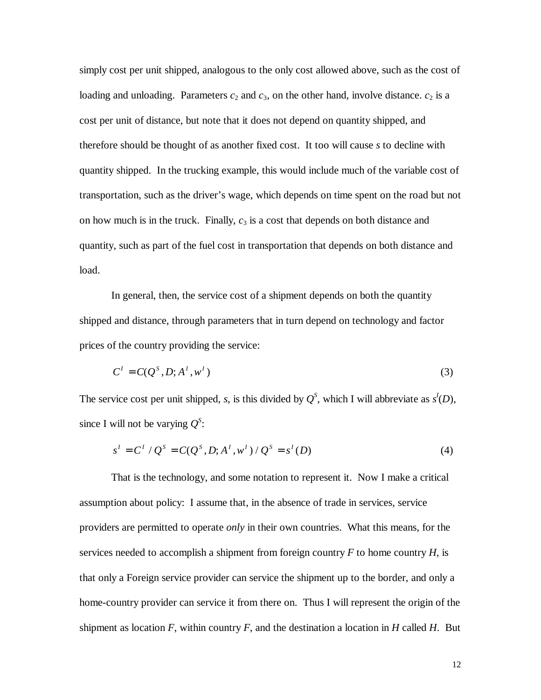simply cost per unit shipped, analogous to the only cost allowed above, such as the cost of loading and unloading. Parameters  $c_2$  and  $c_3$ , on the other hand, involve distance.  $c_2$  is a cost per unit of distance, but note that it does not depend on quantity shipped, and therefore should be thought of as another fixed cost. It too will cause *s* to decline with quantity shipped. In the trucking example, this would include much of the variable cost of transportation, such as the driver's wage, which depends on time spent on the road but not on how much is in the truck. Finally,  $c_3$  is a cost that depends on both distance and quantity, such as part of the fuel cost in transportation that depends on both distance and load.

In general, then, the service cost of a shipment depends on both the quantity shipped and distance, through parameters that in turn depend on technology and factor prices of the country providing the service:

$$
C^I = C(Q^S, D; A^I, w^I) \tag{3}
$$

The service cost per unit shipped, *s*, is this divided by  $Q^S$ , which I will abbreviate as  $s^I(D)$ , since I will not be varying  $Q^s$ :

$$
s^{I} = C^{I} / Q^{S} = C(Q^{S}, D; A^{I}, w^{I}) / Q^{S} = s^{I}(D)
$$
\n(4)

That is the technology, and some notation to represent it. Now I make a critical assumption about policy: I assume that, in the absence of trade in services, service providers are permitted to operate *only* in their own countries. What this means, for the services needed to accomplish a shipment from foreign country  $F$  to home country  $H$ , is that only a Foreign service provider can service the shipment up to the border, and only a home-country provider can service it from there on. Thus I will represent the origin of the shipment as location  $F$ , within country  $F$ , and the destination a location in  $H$  called  $H$ . But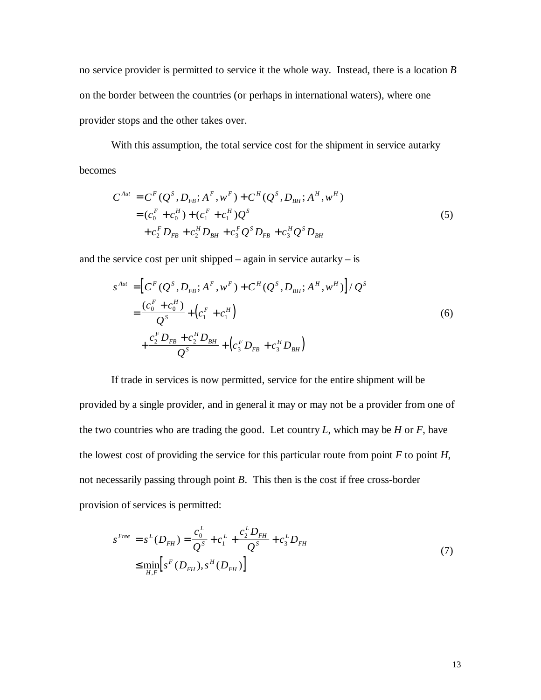no service provider is permitted to service it the whole way. Instead, there is a location *B* on the border between the countries (or perhaps in international waters), where one provider stops and the other takes over.

With this assumption, the total service cost for the shipment in service autarky becomes

$$
C^{Aut} = C^{F}(Q^{S}, D_{FB}; A^{F}, w^{F}) + C^{H}(Q^{S}, D_{BH}; A^{H}, w^{H})
$$
  
=  $(c_{0}^{F} + c_{0}^{H}) + (c_{1}^{F} + c_{1}^{H})Q^{S}$   
+  $c_{2}^{F} D_{FB} + c_{2}^{H} D_{BH} + c_{3}^{F} Q^{S} D_{FB} + c_{3}^{H} Q^{S} D_{BH}$  (5)

and the service cost per unit shipped – again in service autarky – is

$$
s^{Aut} = \left[ C^{F} (Q^{S}, D_{FB}; A^{F}, w^{F}) + C^{H} (Q^{S}, D_{BH}; A^{H}, w^{H}) \right] / Q^{S}
$$
  

$$
= \frac{(c_{0}^{F} + c_{0}^{H})}{Q^{S}} + (c_{1}^{F} + c_{1}^{H})
$$
  

$$
+ \frac{c_{2}^{F} D_{FB} + c_{2}^{H} D_{BH}}{Q^{S}} + (c_{3}^{F} D_{FB} + c_{3}^{H} D_{BH})
$$
  
(6)

If trade in services is now permitted, service for the entire shipment will be provided by a single provider, and in general it may or may not be a provider from one of the two countries who are trading the good. Let country *L*, which may be *H* or *F*, have the lowest cost of providing the service for this particular route from point *F* to point *H*, not necessarily passing through point *B*. This then is the cost if free cross-border provision of services is permitted:

$$
s^{Free} = s^{L}(D_{FH}) = \frac{c_0^{L}}{Q^{s}} + c_1^{L} + \frac{c_2^{L}D_{FH}}{Q^{s}} + c_3^{L}D_{FH}
$$
  
\n
$$
\leq \min_{H,F} [s^{F}(D_{FH}), s^{H}(D_{FH})]
$$
\n(7)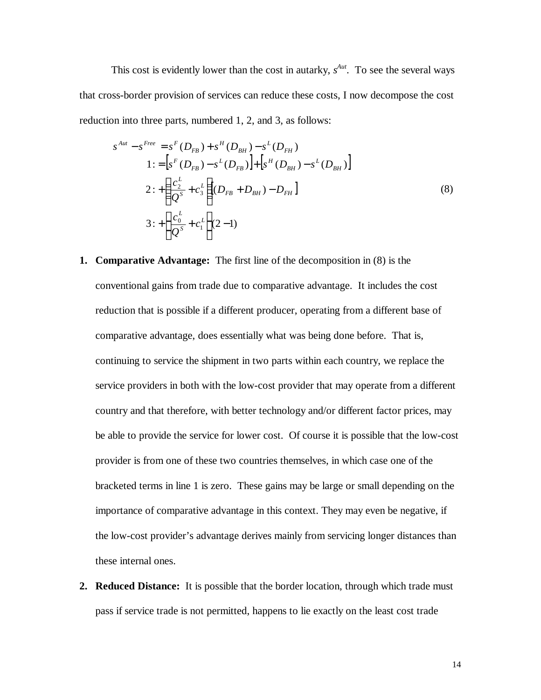This cost is evidently lower than the cost in autarky,  $s^{Aut}$ . To see the several ways that cross-border provision of services can reduce these costs, I now decompose the cost reduction into three parts, numbered 1, 2, and 3, as follows:

$$
s^{Aut} - s^{Free} = s^{F}(D_{FB}) + s^{H}(D_{BH}) - s^{L}(D_{FH})
$$
  
\n
$$
1 := [s^{F}(D_{FB}) - s^{L}(D_{FB})] + [s^{H}(D_{BH}) - s^{L}(D_{BH})]
$$
  
\n
$$
2 : + \left(\frac{c_{2}^{L}}{Q^{s}} + c_{3}^{L}\right)(D_{FB} + D_{BH}) - D_{FH}
$$
  
\n
$$
3 : + \left\{\frac{c_{0}^{L}}{Q^{s}} + c_{1}^{L}\right\}(2 - 1)
$$
\n(8)

- **1. Comparative Advantage:** The first line of the decomposition in (8) is the conventional gains from trade due to comparative advantage. It includes the cost reduction that is possible if a different producer, operating from a different base of comparative advantage, does essentially what was being done before. That is, continuing to service the shipment in two parts within each country, we replace the service providers in both with the low-cost provider that may operate from a different country and that therefore, with better technology and/or different factor prices, may be able to provide the service for lower cost. Of course it is possible that the low-cost provider is from one of these two countries themselves, in which case one of the bracketed terms in line 1 is zero. These gains may be large or small depending on the importance of comparative advantage in this context. They may even be negative, if the low-cost provider's advantage derives mainly from servicing longer distances than these internal ones.
- **2. Reduced Distance:** It is possible that the border location, through which trade must pass if service trade is not permitted, happens to lie exactly on the least cost trade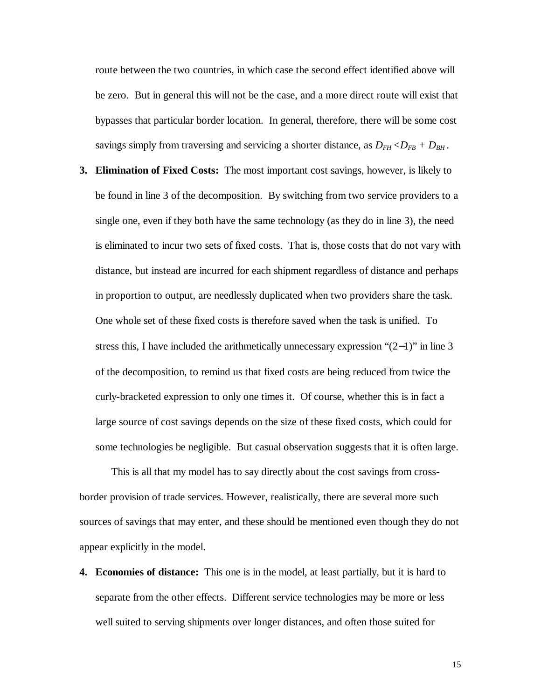route between the two countries, in which case the second effect identified above will be zero. But in general this will not be the case, and a more direct route will exist that bypasses that particular border location. In general, therefore, there will be some cost savings simply from traversing and servicing a shorter distance, as  $D_{FH} < D_{FB} + D_{BH}$ .

**3. Elimination of Fixed Costs:** The most important cost savings, however, is likely to be found in line 3 of the decomposition. By switching from two service providers to a single one, even if they both have the same technology (as they do in line 3), the need is eliminated to incur two sets of fixed costs. That is, those costs that do not vary with distance, but instead are incurred for each shipment regardless of distance and perhaps in proportion to output, are needlessly duplicated when two providers share the task. One whole set of these fixed costs is therefore saved when the task is unified. To stress this, I have included the arithmetically unnecessary expression " $(2-1)$ " in line 3 of the decomposition, to remind us that fixed costs are being reduced from twice the curly-bracketed expression to only one times it. Of course, whether this is in fact a large source of cost savings depends on the size of these fixed costs, which could for some technologies be negligible. But casual observation suggests that it is often large.

This is all that my model has to say directly about the cost savings from crossborder provision of trade services. However, realistically, there are several more such sources of savings that may enter, and these should be mentioned even though they do not appear explicitly in the model.

**4. Economies of distance:** This one is in the model, at least partially, but it is hard to separate from the other effects. Different service technologies may be more or less well suited to serving shipments over longer distances, and often those suited for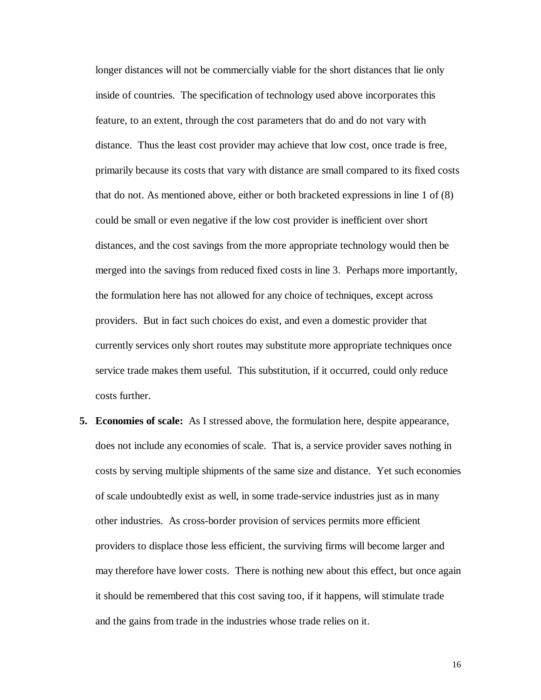longer distances will not be commercially viable for the short distances that lie only inside of countries. The specification of technology used above incorporates this feature, to an extent, through the cost parameters that do and do not vary with distance. Thus the least cost provider may achieve that low cost, once trade is free, primarily because its costs that vary with distance are small compared to its fixed costs that do not. As mentioned above, either or both bracketed expressions in line 1 of (8) could be small or even negative if the low cost provider is inefficient over short distances, and the cost savings from the more appropriate technology would then be merged into the savings from reduced fixed costs in line 3. Perhaps more importantly, the formulation here has not allowed for any choice of techniques, except across providers. But in fact such choices do exist, and even a domestic provider that currently services only short routes may substitute more appropriate techniques once service trade makes them useful. This substitution, if it occurred, could only reduce costs further.

**5. Economies of scale:** As I stressed above, the formulation here, despite appearance, does not include any economies of scale. That is, a service provider saves nothing in costs by serving multiple shipments of the same size and distance. Yet such economies of scale undoubtedly exist as well, in some trade-service industries just as in many other industries. As cross-border provision of services permits more efficient providers to displace those less efficient, the surviving firms will become larger and may therefore have lower costs. There is nothing new about this effect, but once again it should be remembered that this cost saving too, if it happens, will stimulate trade and the gains from trade in the industries whose trade relies on it.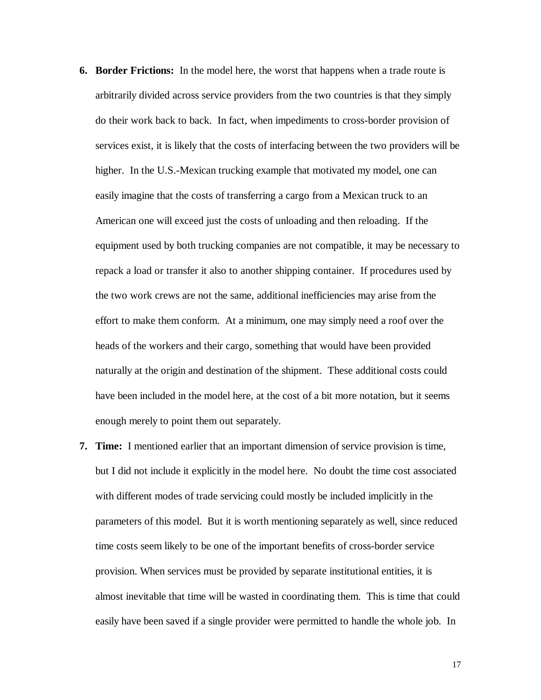- **6. Border Frictions:** In the model here, the worst that happens when a trade route is arbitrarily divided across service providers from the two countries is that they simply do their work back to back. In fact, when impediments to cross-border provision of services exist, it is likely that the costs of interfacing between the two providers will be higher. In the U.S.-Mexican trucking example that motivated my model, one can easily imagine that the costs of transferring a cargo from a Mexican truck to an American one will exceed just the costs of unloading and then reloading. If the equipment used by both trucking companies are not compatible, it may be necessary to repack a load or transfer it also to another shipping container. If procedures used by the two work crews are not the same, additional inefficiencies may arise from the effort to make them conform. At a minimum, one may simply need a roof over the heads of the workers and their cargo, something that would have been provided naturally at the origin and destination of the shipment. These additional costs could have been included in the model here, at the cost of a bit more notation, but it seems enough merely to point them out separately.
- **7. Time:** I mentioned earlier that an important dimension of service provision is time, but I did not include it explicitly in the model here. No doubt the time cost associated with different modes of trade servicing could mostly be included implicitly in the parameters of this model. But it is worth mentioning separately as well, since reduced time costs seem likely to be one of the important benefits of cross-border service provision. When services must be provided by separate institutional entities, it is almost inevitable that time will be wasted in coordinating them. This is time that could easily have been saved if a single provider were permitted to handle the whole job. In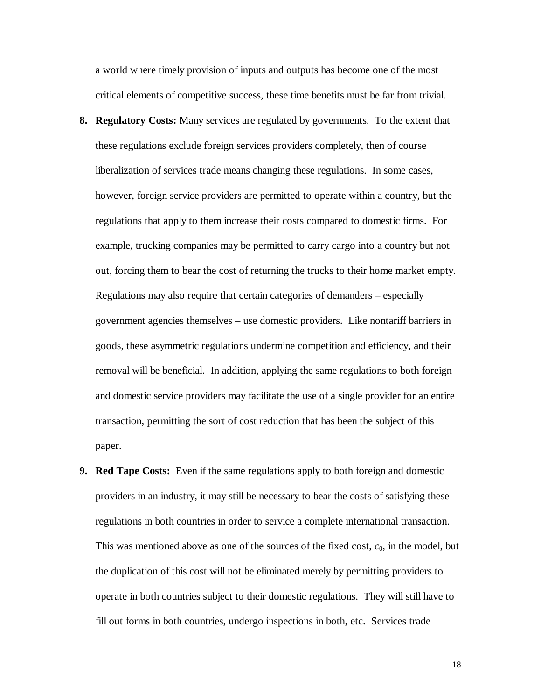a world where timely provision of inputs and outputs has become one of the most critical elements of competitive success, these time benefits must be far from trivial.

- **8. Regulatory Costs:** Many services are regulated by governments. To the extent that these regulations exclude foreign services providers completely, then of course liberalization of services trade means changing these regulations. In some cases, however, foreign service providers are permitted to operate within a country, but the regulations that apply to them increase their costs compared to domestic firms. For example, trucking companies may be permitted to carry cargo into a country but not out, forcing them to bear the cost of returning the trucks to their home market empty. Regulations may also require that certain categories of demanders – especially government agencies themselves – use domestic providers. Like nontariff barriers in goods, these asymmetric regulations undermine competition and efficiency, and their removal will be beneficial. In addition, applying the same regulations to both foreign and domestic service providers may facilitate the use of a single provider for an entire transaction, permitting the sort of cost reduction that has been the subject of this paper.
- **9. Red Tape Costs:** Even if the same regulations apply to both foreign and domestic providers in an industry, it may still be necessary to bear the costs of satisfying these regulations in both countries in order to service a complete international transaction. This was mentioned above as one of the sources of the fixed cost,  $c_0$ , in the model, but the duplication of this cost will not be eliminated merely by permitting providers to operate in both countries subject to their domestic regulations. They will still have to fill out forms in both countries, undergo inspections in both, etc. Services trade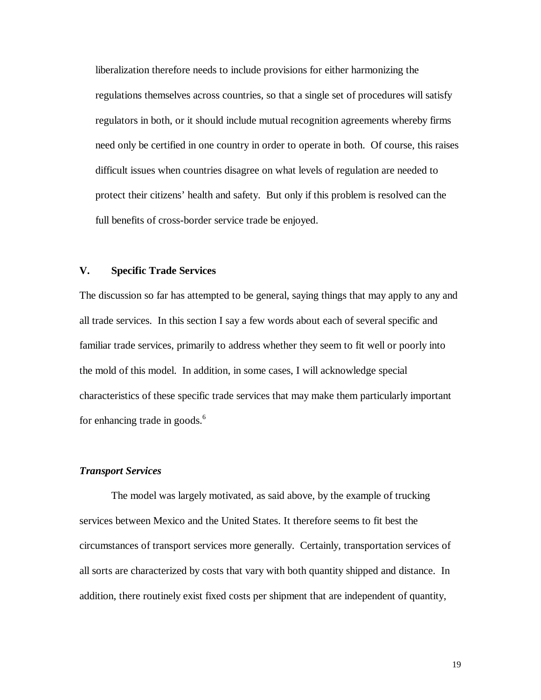liberalization therefore needs to include provisions for either harmonizing the regulations themselves across countries, so that a single set of procedures will satisfy regulators in both, or it should include mutual recognition agreements whereby firms need only be certified in one country in order to operate in both. Of course, this raises difficult issues when countries disagree on what levels of regulation are needed to protect their citizens' health and safety. But only if this problem is resolved can the full benefits of cross-border service trade be enjoyed.

### **V. Specific Trade Services**

The discussion so far has attempted to be general, saying things that may apply to any and all trade services. In this section I say a few words about each of several specific and familiar trade services, primarily to address whether they seem to fit well or poorly into the mold of this model. In addition, in some cases, I will acknowledge special characteristics of these specific trade services that may make them particularly important for enhancing trade in goods. $<sup>6</sup>$ </sup>

#### *Transport Services*

The model was largely motivated, as said above, by the example of trucking services between Mexico and the United States. It therefore seems to fit best the circumstances of transport services more generally. Certainly, transportation services of all sorts are characterized by costs that vary with both quantity shipped and distance. In addition, there routinely exist fixed costs per shipment that are independent of quantity,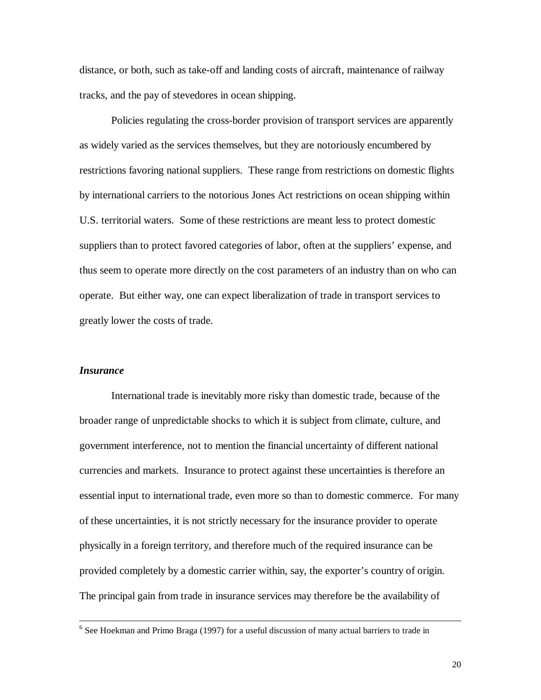distance, or both, such as take-off and landing costs of aircraft, maintenance of railway tracks, and the pay of stevedores in ocean shipping.

Policies regulating the cross-border provision of transport services are apparently as widely varied as the services themselves, but they are notoriously encumbered by restrictions favoring national suppliers. These range from restrictions on domestic flights by international carriers to the notorious Jones Act restrictions on ocean shipping within U.S. territorial waters. Some of these restrictions are meant less to protect domestic suppliers than to protect favored categories of labor, often at the suppliers' expense, and thus seem to operate more directly on the cost parameters of an industry than on who can operate. But either way, one can expect liberalization of trade in transport services to greatly lower the costs of trade.

#### *Insurance*

-

International trade is inevitably more risky than domestic trade, because of the broader range of unpredictable shocks to which it is subject from climate, culture, and government interference, not to mention the financial uncertainty of different national currencies and markets. Insurance to protect against these uncertainties is therefore an essential input to international trade, even more so than to domestic commerce. For many of these uncertainties, it is not strictly necessary for the insurance provider to operate physically in a foreign territory, and therefore much of the required insurance can be provided completely by a domestic carrier within, say, the exporter's country of origin. The principal gain from trade in insurance services may therefore be the availability of

<sup>&</sup>lt;sup>6</sup> See Hoekman and Primo Braga (1997) for a useful discussion of many actual barriers to trade in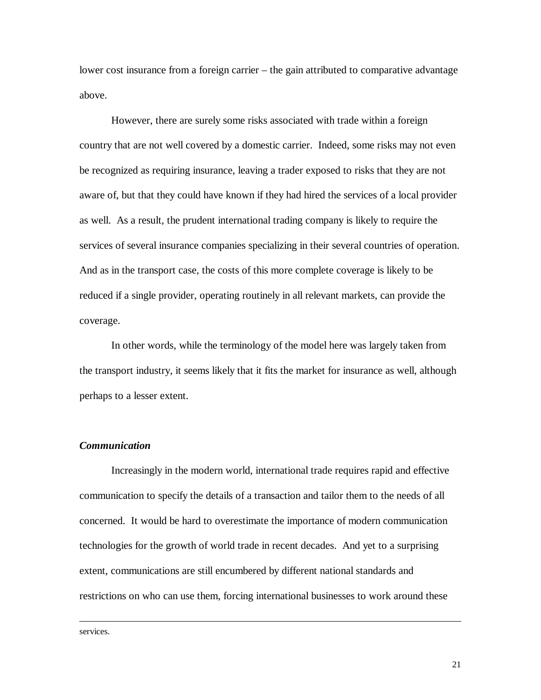lower cost insurance from a foreign carrier – the gain attributed to comparative advantage above.

However, there are surely some risks associated with trade within a foreign country that are not well covered by a domestic carrier. Indeed, some risks may not even be recognized as requiring insurance, leaving a trader exposed to risks that they are not aware of, but that they could have known if they had hired the services of a local provider as well. As a result, the prudent international trading company is likely to require the services of several insurance companies specializing in their several countries of operation. And as in the transport case, the costs of this more complete coverage is likely to be reduced if a single provider, operating routinely in all relevant markets, can provide the coverage.

In other words, while the terminology of the model here was largely taken from the transport industry, it seems likely that it fits the market for insurance as well, although perhaps to a lesser extent.

#### *Communication*

Increasingly in the modern world, international trade requires rapid and effective communication to specify the details of a transaction and tailor them to the needs of all concerned. It would be hard to overestimate the importance of modern communication technologies for the growth of world trade in recent decades. And yet to a surprising extent, communications are still encumbered by different national standards and restrictions on who can use them, forcing international businesses to work around these

services.

 $\overline{a}$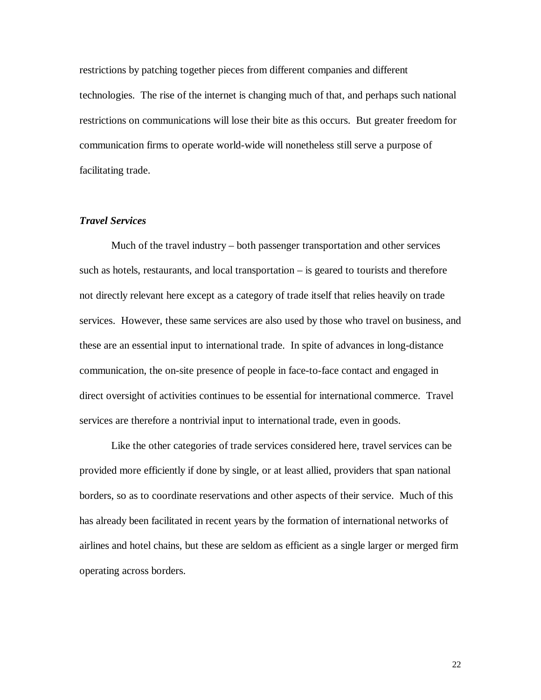restrictions by patching together pieces from different companies and different technologies. The rise of the internet is changing much of that, and perhaps such national restrictions on communications will lose their bite as this occurs. But greater freedom for communication firms to operate world-wide will nonetheless still serve a purpose of facilitating trade.

### *Travel Services*

Much of the travel industry – both passenger transportation and other services such as hotels, restaurants, and local transportation – is geared to tourists and therefore not directly relevant here except as a category of trade itself that relies heavily on trade services. However, these same services are also used by those who travel on business, and these are an essential input to international trade. In spite of advances in long-distance communication, the on-site presence of people in face-to-face contact and engaged in direct oversight of activities continues to be essential for international commerce. Travel services are therefore a nontrivial input to international trade, even in goods.

Like the other categories of trade services considered here, travel services can be provided more efficiently if done by single, or at least allied, providers that span national borders, so as to coordinate reservations and other aspects of their service. Much of this has already been facilitated in recent years by the formation of international networks of airlines and hotel chains, but these are seldom as efficient as a single larger or merged firm operating across borders.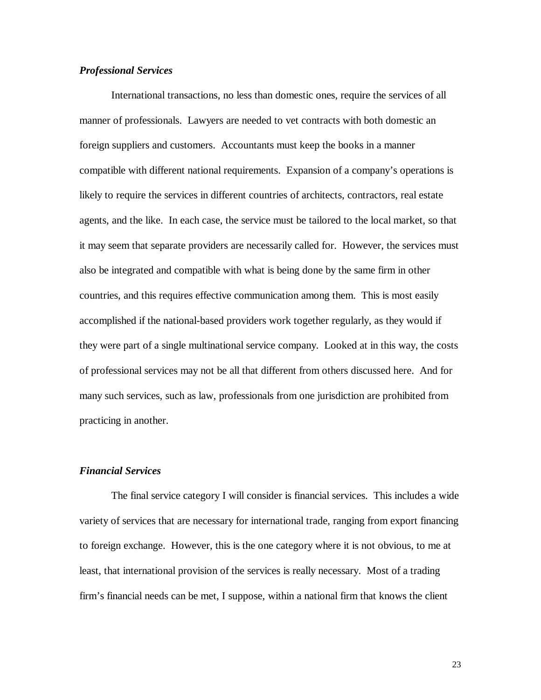#### *Professional Services*

International transactions, no less than domestic ones, require the services of all manner of professionals. Lawyers are needed to vet contracts with both domestic an foreign suppliers and customers. Accountants must keep the books in a manner compatible with different national requirements. Expansion of a company's operations is likely to require the services in different countries of architects, contractors, real estate agents, and the like. In each case, the service must be tailored to the local market, so that it may seem that separate providers are necessarily called for. However, the services must also be integrated and compatible with what is being done by the same firm in other countries, and this requires effective communication among them. This is most easily accomplished if the national-based providers work together regularly, as they would if they were part of a single multinational service company. Looked at in this way, the costs of professional services may not be all that different from others discussed here. And for many such services, such as law, professionals from one jurisdiction are prohibited from practicing in another.

#### *Financial Services*

The final service category I will consider is financial services. This includes a wide variety of services that are necessary for international trade, ranging from export financing to foreign exchange. However, this is the one category where it is not obvious, to me at least, that international provision of the services is really necessary. Most of a trading firm's financial needs can be met, I suppose, within a national firm that knows the client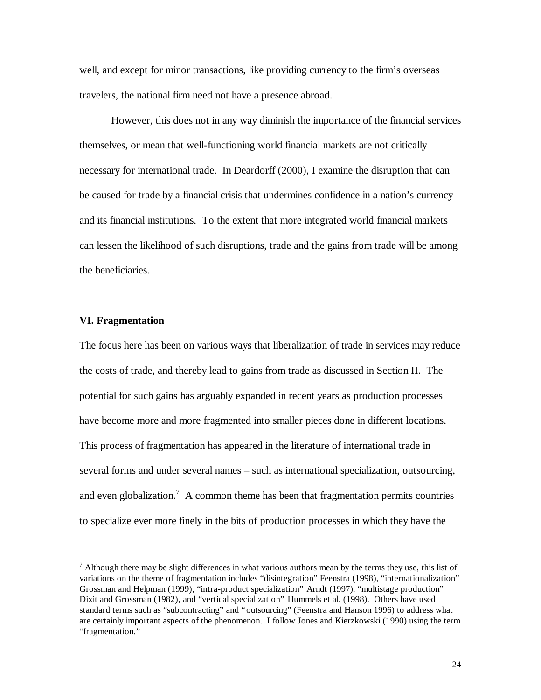well, and except for minor transactions, like providing currency to the firm's overseas travelers, the national firm need not have a presence abroad.

However, this does not in any way diminish the importance of the financial services themselves, or mean that well-functioning world financial markets are not critically necessary for international trade. In Deardorff (2000), I examine the disruption that can be caused for trade by a financial crisis that undermines confidence in a nation's currency and its financial institutions. To the extent that more integrated world financial markets can lessen the likelihood of such disruptions, trade and the gains from trade will be among the beneficiaries.

#### **VI. Fragmentation**

 $\overline{a}$ 

The focus here has been on various ways that liberalization of trade in services may reduce the costs of trade, and thereby lead to gains from trade as discussed in Section II. The potential for such gains has arguably expanded in recent years as production processes have become more and more fragmented into smaller pieces done in different locations. This process of fragmentation has appeared in the literature of international trade in several forms and under several names – such as international specialization, outsourcing, and even globalization.<sup>7</sup> A common theme has been that fragmentation permits countries to specialize ever more finely in the bits of production processes in which they have the

 $<sup>7</sup>$  Although there may be slight differences in what various authors mean by the terms they use, this list of</sup> variations on the theme of fragmentation includes "disintegration" Feenstra (1998), "internationalization" Grossman and Helpman (1999), "intra-product specialization" Arndt (1997), "multistage production" Dixit and Grossman (1982), and "vertical specialization" Hummels et al. (1998). Others have used standard terms such as "subcontracting" and "outsourcing" (Feenstra and Hanson 1996) to address what are certainly important aspects of the phenomenon. I follow Jones and Kierzkowski (1990) using the term "fragmentation."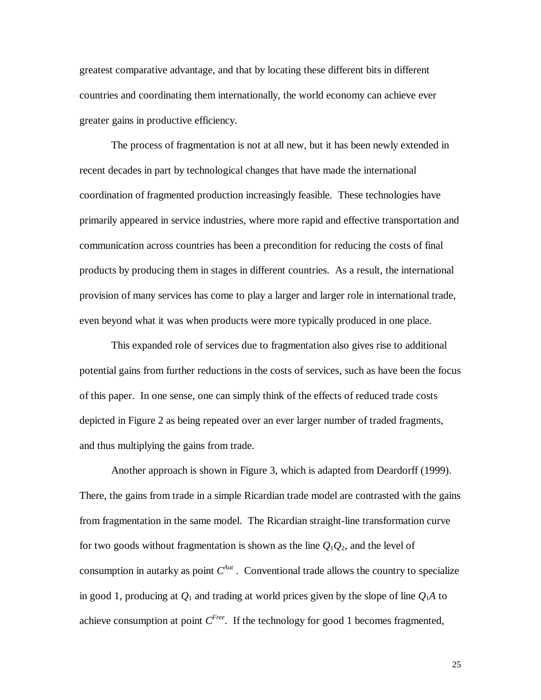greatest comparative advantage, and that by locating these different bits in different countries and coordinating them internationally, the world economy can achieve ever greater gains in productive efficiency.

The process of fragmentation is not at all new, but it has been newly extended in recent decades in part by technological changes that have made the international coordination of fragmented production increasingly feasible. These technologies have primarily appeared in service industries, where more rapid and effective transportation and communication across countries has been a precondition for reducing the costs of final products by producing them in stages in different countries. As a result, the international provision of many services has come to play a larger and larger role in international trade, even beyond what it was when products were more typically produced in one place.

This expanded role of services due to fragmentation also gives rise to additional potential gains from further reductions in the costs of services, such as have been the focus of this paper. In one sense, one can simply think of the effects of reduced trade costs depicted in Figure 2 as being repeated over an ever larger number of traded fragments, and thus multiplying the gains from trade.

Another approach is shown in Figure 3, which is adapted from Deardorff (1999). There, the gains from trade in a simple Ricardian trade model are contrasted with the gains from fragmentation in the same model. The Ricardian straight-line transformation curve for two goods without fragmentation is shown as the line  $Q_1Q_2$ , and the level of consumption in autarky as point  $C^{(Aut)}$ . Conventional trade allows the country to specialize in good 1, producing at  $Q_1$  and trading at world prices given by the slope of line  $Q_1A$  to achieve consumption at point  $C^{Free}$ . If the technology for good 1 becomes fragmented,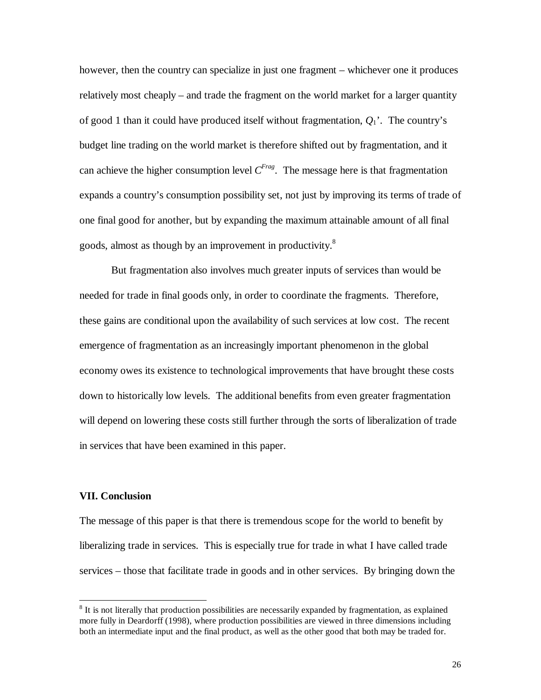however, then the country can specialize in just one fragment – whichever one it produces relatively most cheaply – and trade the fragment on the world market for a larger quantity of good 1 than it could have produced itself without fragmentation, *Q*1'. The country's budget line trading on the world market is therefore shifted out by fragmentation, and it can achieve the higher consumption level  $C<sup>Frag</sup>$ . The message here is that fragmentation expands a country's consumption possibility set, not just by improving its terms of trade of one final good for another, but by expanding the maximum attainable amount of all final goods, almost as though by an improvement in productivity.<sup>8</sup>

But fragmentation also involves much greater inputs of services than would be needed for trade in final goods only, in order to coordinate the fragments. Therefore, these gains are conditional upon the availability of such services at low cost. The recent emergence of fragmentation as an increasingly important phenomenon in the global economy owes its existence to technological improvements that have brought these costs down to historically low levels. The additional benefits from even greater fragmentation will depend on lowering these costs still further through the sorts of liberalization of trade in services that have been examined in this paper.

## **VII. Conclusion**

 $\overline{a}$ 

The message of this paper is that there is tremendous scope for the world to benefit by liberalizing trade in services. This is especially true for trade in what I have called trade services – those that facilitate trade in goods and in other services. By bringing down the

 $8$  It is not literally that production possibilities are necessarily expanded by fragmentation, as explained more fully in Deardorff (1998), where production possibilities are viewed in three dimensions including both an intermediate input and the final product, as well as the other good that both may be traded for.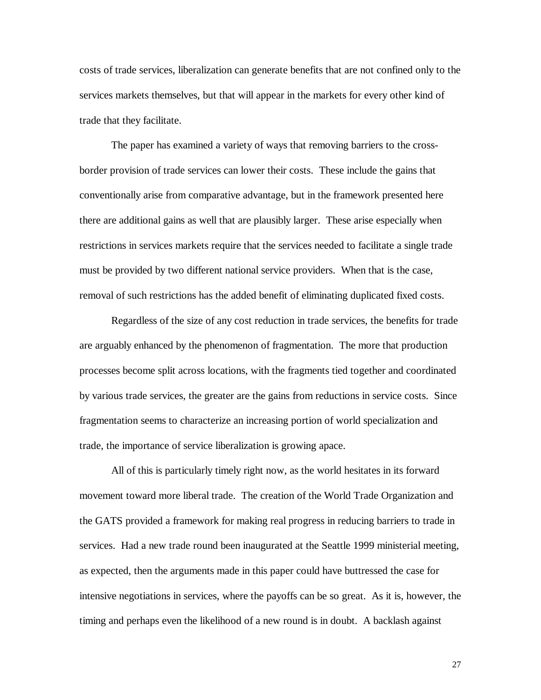costs of trade services, liberalization can generate benefits that are not confined only to the services markets themselves, but that will appear in the markets for every other kind of trade that they facilitate.

The paper has examined a variety of ways that removing barriers to the crossborder provision of trade services can lower their costs. These include the gains that conventionally arise from comparative advantage, but in the framework presented here there are additional gains as well that are plausibly larger. These arise especially when restrictions in services markets require that the services needed to facilitate a single trade must be provided by two different national service providers. When that is the case, removal of such restrictions has the added benefit of eliminating duplicated fixed costs.

Regardless of the size of any cost reduction in trade services, the benefits for trade are arguably enhanced by the phenomenon of fragmentation. The more that production processes become split across locations, with the fragments tied together and coordinated by various trade services, the greater are the gains from reductions in service costs. Since fragmentation seems to characterize an increasing portion of world specialization and trade, the importance of service liberalization is growing apace.

All of this is particularly timely right now, as the world hesitates in its forward movement toward more liberal trade. The creation of the World Trade Organization and the GATS provided a framework for making real progress in reducing barriers to trade in services. Had a new trade round been inaugurated at the Seattle 1999 ministerial meeting, as expected, then the arguments made in this paper could have buttressed the case for intensive negotiations in services, where the payoffs can be so great. As it is, however, the timing and perhaps even the likelihood of a new round is in doubt. A backlash against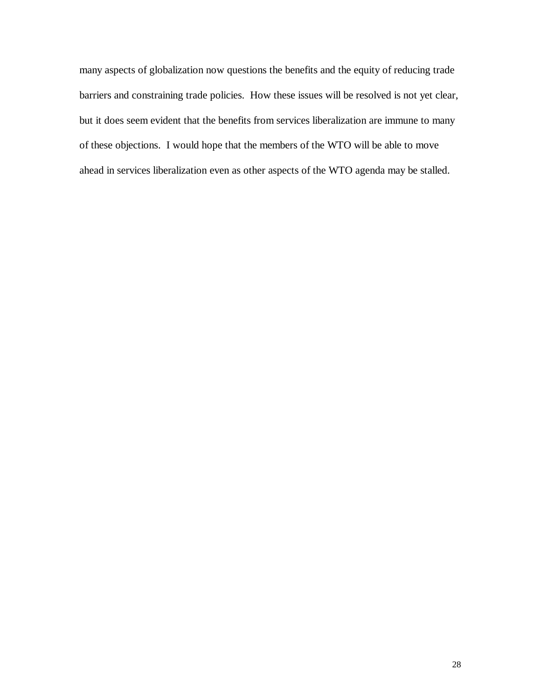many aspects of globalization now questions the benefits and the equity of reducing trade barriers and constraining trade policies. How these issues will be resolved is not yet clear, but it does seem evident that the benefits from services liberalization are immune to many of these objections. I would hope that the members of the WTO will be able to move ahead in services liberalization even as other aspects of the WTO agenda may be stalled.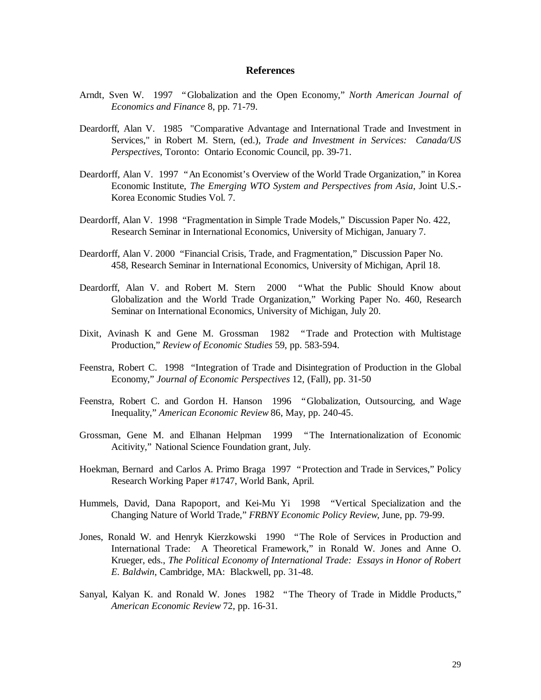#### **References**

- Arndt, Sven W. 1997 "Globalization and the Open Economy," *North American Journal of Economics and Finance* 8, pp. 71-79.
- Deardorff, Alan V. 1985 "Comparative Advantage and International Trade and Investment in Services," in Robert M. Stern, (ed.), *Trade and Investment in Services: Canada/US Perspectives*, Toronto: Ontario Economic Council, pp. 39-71.
- Deardorff, Alan V. 1997 "An Economist's Overview of the World Trade Organization," in Korea Economic Institute, *The Emerging WTO System and Perspectives from Asia*, Joint U.S.- Korea Economic Studies Vol. 7.
- Deardorff, Alan V. 1998 "Fragmentation in Simple Trade Models," Discussion Paper No. 422, Research Seminar in International Economics, University of Michigan, January 7.
- Deardorff, Alan V. 2000 "Financial Crisis, Trade, and Fragmentation," Discussion Paper No. 458, Research Seminar in International Economics, University of Michigan, April 18.
- Deardorff, Alan V. and Robert M. Stern 2000 "What the Public Should Know about Globalization and the World Trade Organization," Working Paper No. 460, Research Seminar on International Economics, University of Michigan, July 20.
- Dixit, Avinash K and Gene M. Grossman 1982 "Trade and Protection with Multistage Production," *Review of Economic Studies* 59, pp. 583-594.
- Feenstra, Robert C. 1998 "Integration of Trade and Disintegration of Production in the Global Economy," *Journal of Economic Perspectives* 12, (Fall), pp. 31-50
- Feenstra, Robert C. and Gordon H. Hanson 1996 "Globalization, Outsourcing, and Wage Inequality," *American Economic Review* 86, May, pp. 240-45.
- Grossman, Gene M. and Elhanan Helpman 1999 "The Internationalization of Economic Acitivity," National Science Foundation grant, July.
- Hoekman, Bernard and Carlos A. Primo Braga 1997 "Protection and Trade in Services," Policy Research Working Paper #1747, World Bank, April.
- Hummels, David, Dana Rapoport, and Kei-Mu Yi 1998 "Vertical Specialization and the Changing Nature of World Trade," *FRBNY Economic Policy Review*, June, pp. 79-99.
- Jones, Ronald W. and Henryk Kierzkowski 1990 "The Role of Services in Production and International Trade: A Theoretical Framework," in Ronald W. Jones and Anne O. Krueger, eds., *The Political Economy of International Trade: Essays in Honor of Robert E. Baldwin*, Cambridge, MA: Blackwell, pp. 31-48.
- Sanyal, Kalyan K. and Ronald W. Jones 1982 "The Theory of Trade in Middle Products," *American Economic Review* 72, pp. 16-31.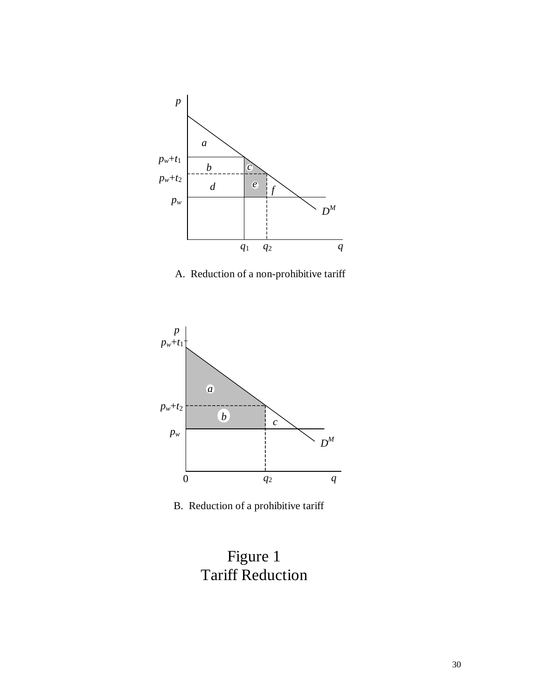

A. Reduction of a non-prohibitive tariff



B. Reduction of a prohibitive tariff

# Figure 1 Tariff Reduction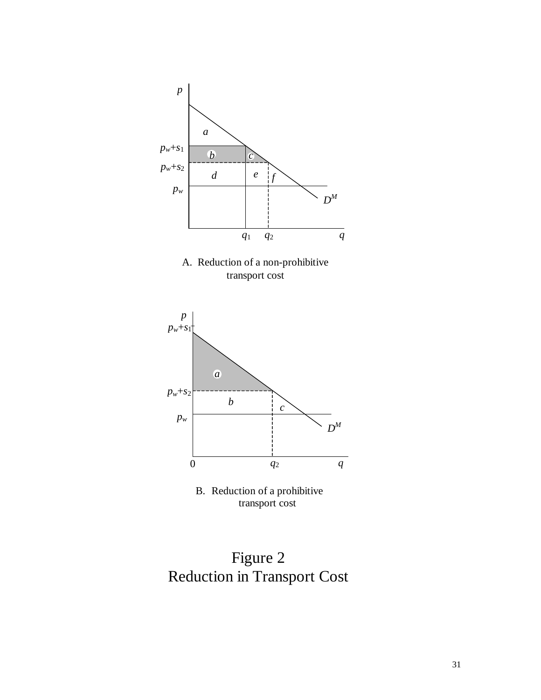





B. Reduction of a prohibitive transport cost